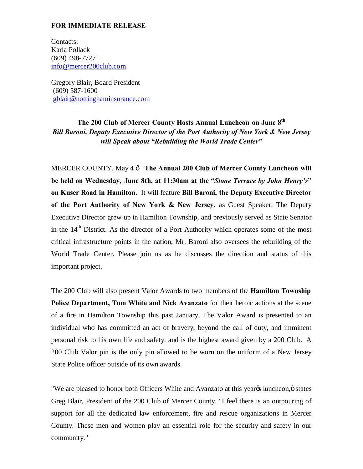## **FOR IMMEDIATE RELEASE**

Contacts: Karla Pollack (609) 498-7727 info@mercer200club.com

Gregory Blair, Board President (609) 587-1600 gblair@nottinghaminsurance.com

## **The 200 Club of Mercer County Hosts Annual Luncheon on June 8th** *Bill Baroni, Deputy Executive Director of the Port Authority of New York & New Jersey will Speak about "Rebuilding the World Trade Center"*

MERCER COUNTY, May 4  $\hat{o}$  The Annual 200 Club of Mercer County Luncheon will **be held on Wednesday, June 8th, at 11:30am at the "***Stone Terrace by John Henry's***" on Kuser Road in Hamilton.** It will feature **Bill Baroni, the Deputy Executive Director of the Port Authority of New York & New Jersey,** as Guest Speaker. The Deputy Executive Director grew up in Hamilton Township, and previously served as State Senator in the  $14<sup>th</sup>$  District. As the director of a Port Authority which operates some of the most critical infrastructure points in the nation, Mr. Baroni also oversees the rebuilding of the World Trade Center. Please join us as he discusses the direction and status of this important project.

The 200 Club will also present Valor Awards to two members of the **Hamilton Township Police Department, Tom White and Nick Avanzato** for their heroic actions at the scene of a fire in Hamilton Township this past January. The Valor Award is presented to an individual who has committed an act of bravery, beyond the call of duty, and imminent personal risk to his own life and safety, and is the highest award given by a 200 Club. A 200 Club Valor pin is the only pin allowed to be worn on the uniform of a New Jersey State Police officer outside of its own awards.

"We are pleased to honor both Officers White and Avanzato at this year<sub>\$</sub> luncheon, $\ddot{o}$  states Greg Blair, President of the 200 Club of Mercer County. "I feel there is an outpouring of support for all the dedicated law enforcement, fire and rescue organizations in Mercer County. These men and women play an essential role for the security and safety in our community."